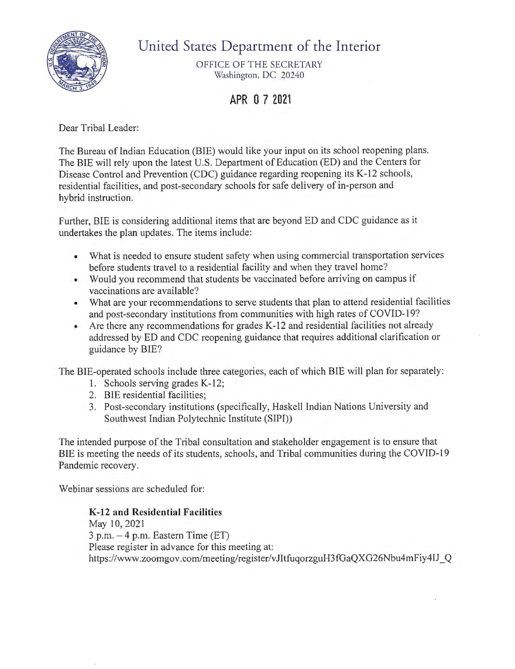

## United States Department of the Interior

OFFICE OF THE SECRETARY Washington, DC 20240

## **APR O 7 2021**

Dear Tribal Leader:

The Bureau of Indian Education (BIE) would like your input on its school reopening plans. The BIE will rely upon the latest U.S. Department of Education (ED) and the Centers for Disease Control and Prevention (CDC) guidance regarding reopening its K-12 schools, residential facilities, and post-secondary schools for safe delivery of in-person and hybrid instruction.

Further, BIE is considering additional items that are beyond ED and CDC guidance as it undertakes the plan updates. The items include:

- What is needed to ensure student safety when using commercial transportation services before students travel to a residential facility and when they travel home?
- Would you recommend that students be vaccinated before arriving on campus if vaccinations are available?
- What are your recommendations to serve students that plan to attend residential facilities and post-secondary institutions from communities with high rates of COVID-19?
- Are there any recommendations for grades K-12 and residential facilities not already addressed by ED and CDC reopening guidance that requires additional clarification or guidance by BIE?

The BIE-operated schools include three categories, each of which BIE will plan for separately:

- 1. Schools serving grades K-12;
- 2. BIE residential facilities;
- 3. Post-secondary institutions (specifically, Haskell Indian Nations University and Southwest Indian Polytechnic Institute (SIPI))

The intended purpose of the Tribal consultation and stakeholder engagement is to ensure that BIE is meeting the needs of its students, schools, and Tribal communities during the COVID-19 Pandemic recovery.

Webinar sessions are scheduled for:

## **K-12 and Residential Facilities**

May 10, 2021  $3$  p.m.  $-4$  p.m. Eastern Time (ET) Please register in advance for this meeting at: https://www.zoomgov.com/meeting/register/vJItfuqorzguH3fGaQXG26Nbu4mFiy4IJ\_Q